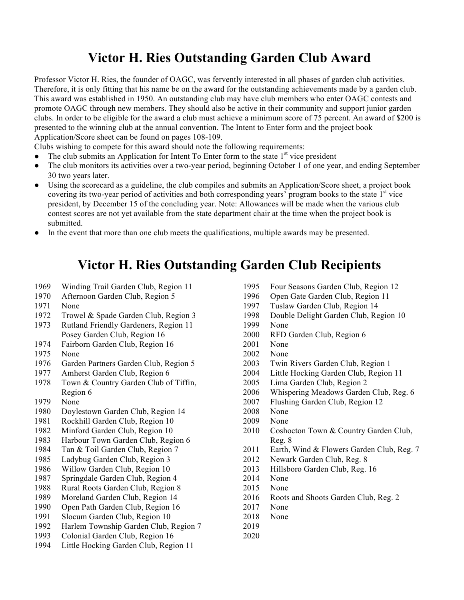## **Victor H. Ries Outstanding Garden Club Award**

Professor Victor H. Ries, the founder of OAGC, was fervently interested in all phases of garden club activities. Therefore, it is only fitting that his name be on the award for the outstanding achievements made by a garden club. This award was established in 1950. An outstanding club may have club members who enter OAGC contests and promote OAGC through new members. They should also be active in their community and support junior garden clubs. In order to be eligible for the award a club must achieve a minimum score of 75 percent. An award of \$200 is presented to the winning club at the annual convention. The Intent to Enter form and the project book Application/Score sheet can be found on pages 108-109.

Clubs wishing to compete for this award should note the following requirements:

- $\bullet$  The club submits an Application for Intent To Enter form to the state  $1<sup>st</sup>$  vice president
- The club monitors its activities over a two-year period, beginning October 1 of one year, and ending September 30 two years later.
- Using the scorecard as a guideline, the club compiles and submits an Application/Score sheet, a project book covering its two-year period of activities and both corresponding years' program books to the state 1<sup>st</sup> vice president, by December 15 of the concluding year. Note: Allowances will be made when the various club contest scores are not yet available from the state department chair at the time when the project book is submitted.
- In the event that more than one club meets the qualifications, multiple awards may be presented.

## **Victor H. Ries Outstanding Garden Club Recipients**

- Winding Trail Garden Club, Region 11
- Afternoon Garden Club, Region 5
- None
- Trowel & Spade Garden Club, Region 3
- Rutland Friendly Gardeners, Region 11 Posey Garden Club, Region 16
- Fairborn Garden Club, Region 16
- None
- Garden Partners Garden Club, Region 5
- Amherst Garden Club, Region 6
- 1978 Town & Country Garden Club of Tiffin, Region 6
- None
- Doylestown Garden Club, Region 14
- Rockhill Garden Club, Region 10
- Minford Garden Club, Region 10
- Harbour Town Garden Club, Region 6
- Tan & Toil Garden Club, Region 7
- Ladybug Garden Club, Region 3
- Willow Garden Club, Region 10
- Springdale Garden Club, Region 4
- Rural Roots Garden Club, Region 8
- Moreland Garden Club, Region 14
- Open Path Garden Club, Region 16
- Slocum Garden Club, Region 10
- Harlem Township Garden Club, Region 7
- Colonial Garden Club, Region 16
- Little Hocking Garden Club, Region 11
- Four Seasons Garden Club, Region 12
- Open Gate Garden Club, Region 11
- Tuslaw Garden Club, Region 14
- Double Delight Garden Club, Region 10
- None
- RFD Garden Club, Region 6
- None
- None
- Twin Rivers Garden Club, Region 1
- Little Hocking Garden Club, Region 11
- Lima Garden Club, Region 2
- Whispering Meadows Garden Club, Reg. 6
- Flushing Garden Club, Region 12
- None
- None
- 2010 Coshocton Town & Country Garden Club, Reg. 8
- 2011 Earth, Wind & Flowers Garden Club, Reg. 7
- Newark Garden Club, Reg. 8
- Hillsboro Garden Club, Reg. 16
- None
- None
- Roots and Shoots Garden Club, Reg. 2
- None
- None
- 
-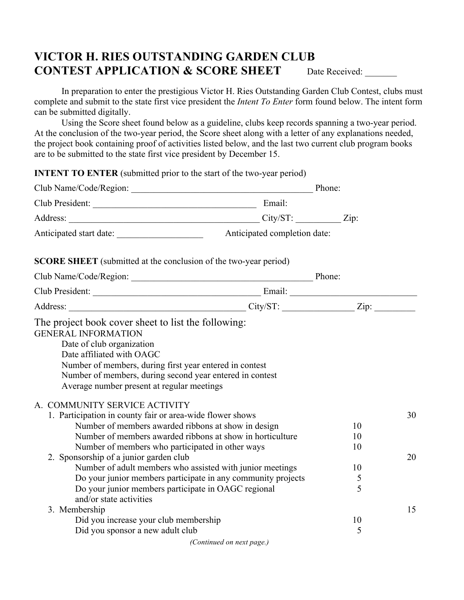## **VICTOR H. RIES OUTSTANDING GARDEN CLUB CONTEST APPLICATION & SCORE SHEET** Date Received:

In preparation to enter the prestigious Victor H. Ries Outstanding Garden Club Contest, clubs must complete and submit to the state first vice president the *Intent To Enter* form found below. The intent form can be submitted digitally.

Using the Score sheet found below as a guideline, clubs keep records spanning a two-year period. At the conclusion of the two-year period, the Score sheet along with a letter of any explanations needed, the project book containing proof of activities listed below, and the last two current club program books are to be submitted to the state first vice president by December 15.

**INTENT TO ENTER** (submitted prior to the start of the two-year period)

| <b>SCORE SHEET</b> (submitted at the conclusion of the two-year period)                                                                                                                                                                                                                                                                                                                                                    |                                                              |                                |          |  |
|----------------------------------------------------------------------------------------------------------------------------------------------------------------------------------------------------------------------------------------------------------------------------------------------------------------------------------------------------------------------------------------------------------------------------|--------------------------------------------------------------|--------------------------------|----------|--|
|                                                                                                                                                                                                                                                                                                                                                                                                                            |                                                              |                                |          |  |
|                                                                                                                                                                                                                                                                                                                                                                                                                            |                                                              |                                |          |  |
|                                                                                                                                                                                                                                                                                                                                                                                                                            |                                                              |                                |          |  |
| Date of club organization<br>Date affiliated with OAGC<br>Number of members, during first year entered in contest<br>Number of members, during second year entered in contest<br>Average number present at regular meetings<br>A. COMMUNITY SERVICE ACTIVITY                                                                                                                                                               |                                                              |                                |          |  |
| 1. Participation in county fair or area-wide flower shows<br>Number of members awarded ribbons at show in design<br>Number of members awarded ribbons at show in horticulture<br>Number of members who participated in other ways<br>2. Sponsorship of a junior garden club<br>Number of adult members who assisted with junior meetings<br>Do your junior members participate in OAGC regional<br>and/or state activities | Do your junior members participate in any community projects | 10<br>10<br>10<br>10<br>5<br>5 | 30<br>20 |  |
| 3. Membership<br>Did you increase your club membership<br>Did you sponsor a new adult club                                                                                                                                                                                                                                                                                                                                 | (Continued on next page.)                                    | 10<br>5                        | 15       |  |